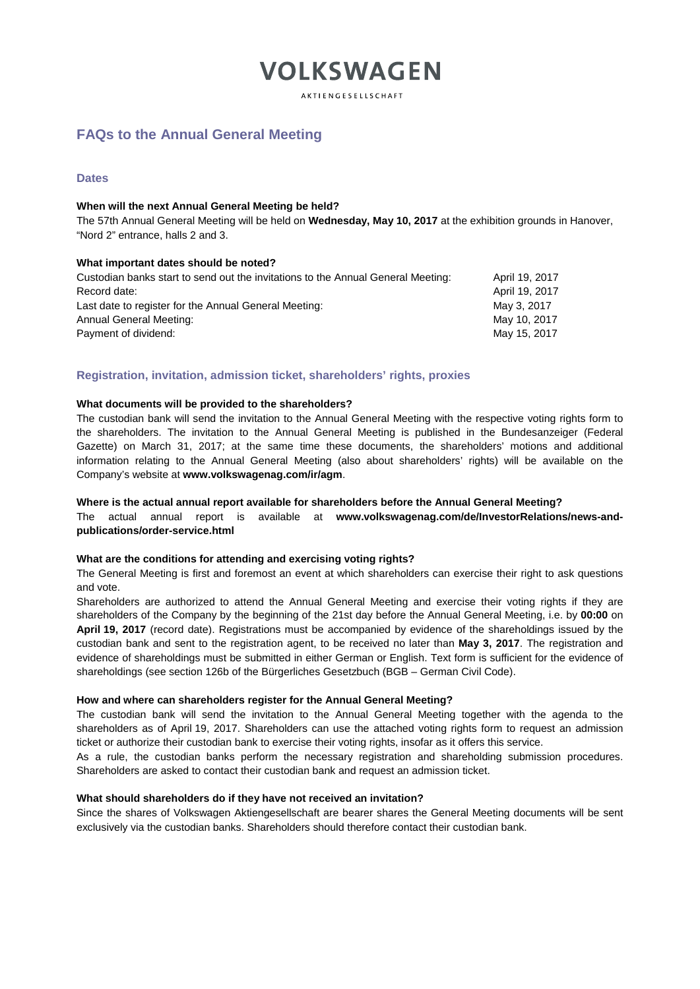**AKTIENGESELLSCHAFT** 

# **FAQs to the Annual General Meeting**

# **Dates**

# **When will the next Annual General Meeting be held?**

The 57th Annual General Meeting will be held on **Wednesday, May 10, 2017** at the exhibition grounds in Hanover, "Nord 2" entrance, halls 2 and 3.

## **What important dates should be noted?**

| April 19, 2017 |
|----------------|
| April 19, 2017 |
| May 3, 2017    |
| May 10, 2017   |
| May 15, 2017   |
|                |

## **Registration, invitation, admission ticket, shareholders' rights, proxies**

#### **What documents will be provided to the shareholders?**

The custodian bank will send the invitation to the Annual General Meeting with the respective voting rights form to the shareholders. The invitation to the Annual General Meeting is published in the Bundesanzeiger (Federal Gazette) on March 31, 2017; at the same time these documents, the shareholders' motions and additional information relating to the Annual General Meeting (also about shareholders' rights) will be available on the Company's website at **www.volkswagenag.com/ir/agm**.

#### **Where is the actual annual report available for shareholders before the Annual General Meeting?**

The actual annual report is available at **[www.volkswagenag.com/de/InvestorRelations/news-and](http://www.volkswagenag.com/de/InvestorRelations/news-and-publications/order-service.html)[publications/order-service.html](http://www.volkswagenag.com/de/InvestorRelations/news-and-publications/order-service.html)**

#### **What are the conditions for attending and exercising voting rights?**

The General Meeting is first and foremost an event at which shareholders can exercise their right to ask questions and vote.

Shareholders are authorized to attend the Annual General Meeting and exercise their voting rights if they are shareholders of the Company by the beginning of the 21st day before the Annual General Meeting, i.e. by **00:00** on **April 19, 2017** (record date). Registrations must be accompanied by evidence of the shareholdings issued by the custodian bank and sent to the registration agent, to be received no later than **May 3, 2017**. The registration and evidence of shareholdings must be submitted in either German or English. Text form is sufficient for the evidence of shareholdings (see section 126b of the Bürgerliches Gesetzbuch (BGB – German Civil Code).

# **How and where can shareholders register for the Annual General Meeting?**

The custodian bank will send the invitation to the Annual General Meeting together with the agenda to the shareholders as of April 19, 2017. Shareholders can use the attached voting rights form to request an admission ticket or authorize their custodian bank to exercise their voting rights, insofar as it offers this service.

As a rule, the custodian banks perform the necessary registration and shareholding submission procedures. Shareholders are asked to contact their custodian bank and request an admission ticket.

#### **What should shareholders do if they have not received an invitation?**

Since the shares of Volkswagen Aktiengesellschaft are bearer shares the General Meeting documents will be sent exclusively via the custodian banks. Shareholders should therefore contact their custodian bank.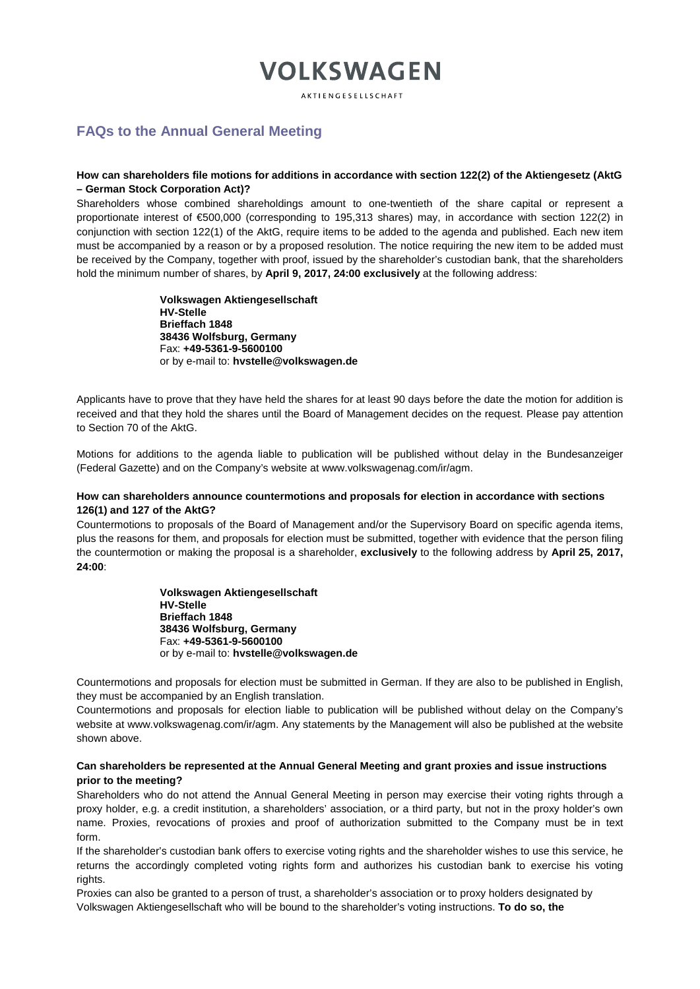**AKTIENGESELLSCHAFT** 

# **FAQs to the Annual General Meeting**

# **How can shareholders file motions for additions in accordance with section 122(2) of the Aktiengesetz (AktG – German Stock Corporation Act)?**

Shareholders whose combined shareholdings amount to one-twentieth of the share capital or represent a proportionate interest of €500,000 (corresponding to 195,313 shares) may, in accordance with section 122(2) in conjunction with section 122(1) of the AktG, require items to be added to the agenda and published. Each new item must be accompanied by a reason or by a proposed resolution. The notice requiring the new item to be added must be received by the Company, together with proof, issued by the shareholder's custodian bank, that the shareholders hold the minimum number of shares, by **April 9, 2017, 24:00 exclusively** at the following address:

> **Volkswagen Aktiengesellschaft HV-Stelle Brieffach 1848 38436 Wolfsburg, Germany** Fax: **+49-5361-9-5600100**  or by e-mail to: **[hvstelle@volkswagen.de](mailto:hvstelle@volkswagen.de)**

Applicants have to prove that they have held the shares for at least 90 days before the date the motion for addition is received and that they hold the shares until the Board of Management decides on the request. Please pay attention to Section 70 of the AktG.

Motions for additions to the agenda liable to publication will be published without delay in the Bundesanzeiger (Federal Gazette) and on the Company's website at www.volkswagenag.com/ir/agm.

## **How can shareholders announce countermotions and proposals for election in accordance with sections 126(1) and 127 of the AktG?**

Countermotions to proposals of the Board of Management and/or the Supervisory Board on specific agenda items, plus the reasons for them, and proposals for election must be submitted, together with evidence that the person filing the countermotion or making the proposal is a shareholder, **exclusively** to the following address by **April 25, 2017, 24:00**:

> **Volkswagen Aktiengesellschaft HV-Stelle Brieffach 1848 38436 Wolfsburg, Germany** Fax: **+49-5361-9-5600100**  or by e-mail to: **hvstelle@volkswagen.de**

Countermotions and proposals for election must be submitted in German. If they are also to be published in English, they must be accompanied by an English translation.

Countermotions and proposals for election liable to publication will be published without delay on the Company's website at [www.volkswagenag.com/ir/agm.](http://www.volkswagenag.com/ir/agm) Any statements by the Management will also be published at the website shown above.

# **Can shareholders be represented at the Annual General Meeting and grant proxies and issue instructions prior to the meeting?**

Shareholders who do not attend the Annual General Meeting in person may exercise their voting rights through a proxy holder, e.g. a credit institution, a shareholders' association, or a third party, but not in the proxy holder's own name. Proxies, revocations of proxies and proof of authorization submitted to the Company must be in text form.

If the shareholder's custodian bank offers to exercise voting rights and the shareholder wishes to use this service, he returns the accordingly completed voting rights form and authorizes his custodian bank to exercise his voting rights.

Proxies can also be granted to a person of trust, a shareholder's association or to proxy holders designated by Volkswagen Aktiengesellschaft who will be bound to the shareholder's voting instructions. **To do so, the**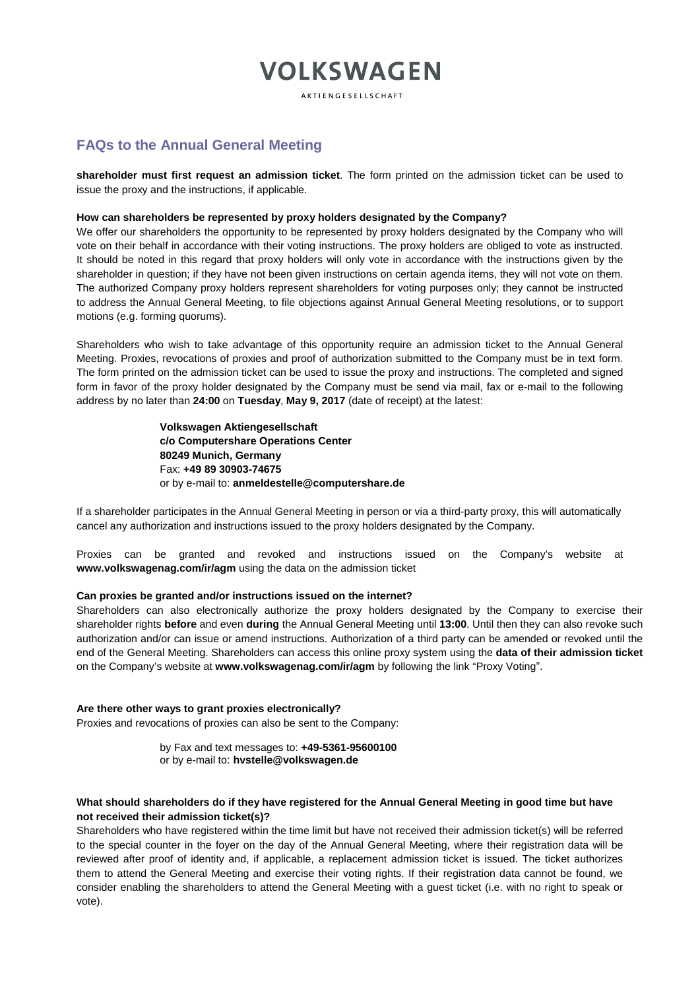**AKTIENGESELLSCHAFT** 

# **FAQs to the Annual General Meeting**

**shareholder must first request an admission ticket**. The form printed on the admission ticket can be used to issue the proxy and the instructions, if applicable.

# **How can shareholders be represented by proxy holders designated by the Company?**

We offer our shareholders the opportunity to be represented by proxy holders designated by the Company who will vote on their behalf in accordance with their voting instructions. The proxy holders are obliged to vote as instructed. It should be noted in this regard that proxy holders will only vote in accordance with the instructions given by the shareholder in question; if they have not been given instructions on certain agenda items, they will not vote on them. The authorized Company proxy holders represent shareholders for voting purposes only; they cannot be instructed to address the Annual General Meeting, to file objections against Annual General Meeting resolutions, or to support motions (e.g. forming quorums).

Shareholders who wish to take advantage of this opportunity require an admission ticket to the Annual General Meeting. Proxies, revocations of proxies and proof of authorization submitted to the Company must be in text form. The form printed on the admission ticket can be used to issue the proxy and instructions. The completed and signed form in favor of the proxy holder designated by the Company must be send via mail, fax or e-mail to the following address by no later than **24:00** on **Tuesday**, **May 9, 2017** (date of receipt) at the latest:

> **Volkswagen Aktiengesellschaft c/o Computershare Operations Center 80249 Munich, Germany** Fax: **+49 89 30903-74675** or by e-mail to: **[anmeldestelle@computershare.de](mailto:anmeldestelle@computershare.de)**

If a shareholder participates in the Annual General Meeting in person or via a third-party proxy, this will automatically cancel any authorization and instructions issued to the proxy holders designated by the Company.

Proxies can be granted and revoked and instructions issued on the Company's website at **www.volkswagenag.com/ir/agm** using the data on the admission ticket

#### **Can proxies be granted and/or instructions issued on the internet?**

Shareholders can also electronically authorize the proxy holders designated by the Company to exercise their shareholder rights **before** and even **during** the Annual General Meeting until **13:00**. Until then they can also revoke such authorization and/or can issue or amend instructions. Authorization of a third party can be amended or revoked until the end of the General Meeting. Shareholders can access this online proxy system using the **data of their admission ticket** on the Company's website at **[www.volkswagenag.com/ir/agm](http://www.volkswagenag.com/ir/agm)** by following the link "Proxy Voting".

# **Are there other ways to grant proxies electronically?**

Proxies and revocations of proxies can also be sent to the Company:

by Fax and text messages to: **+49-5361-95600100** or by e-mail to: **[hvstelle@volkswagen.de](mailto:hvstelle@volkswagen.de)**

# **What should shareholders do if they have registered for the Annual General Meeting in good time but have not received their admission ticket(s)?**

Shareholders who have registered within the time limit but have not received their admission ticket(s) will be referred to the special counter in the foyer on the day of the Annual General Meeting, where their registration data will be reviewed after proof of identity and, if applicable, a replacement admission ticket is issued. The ticket authorizes them to attend the General Meeting and exercise their voting rights. If their registration data cannot be found, we consider enabling the shareholders to attend the General Meeting with a guest ticket (i.e. with no right to speak or vote).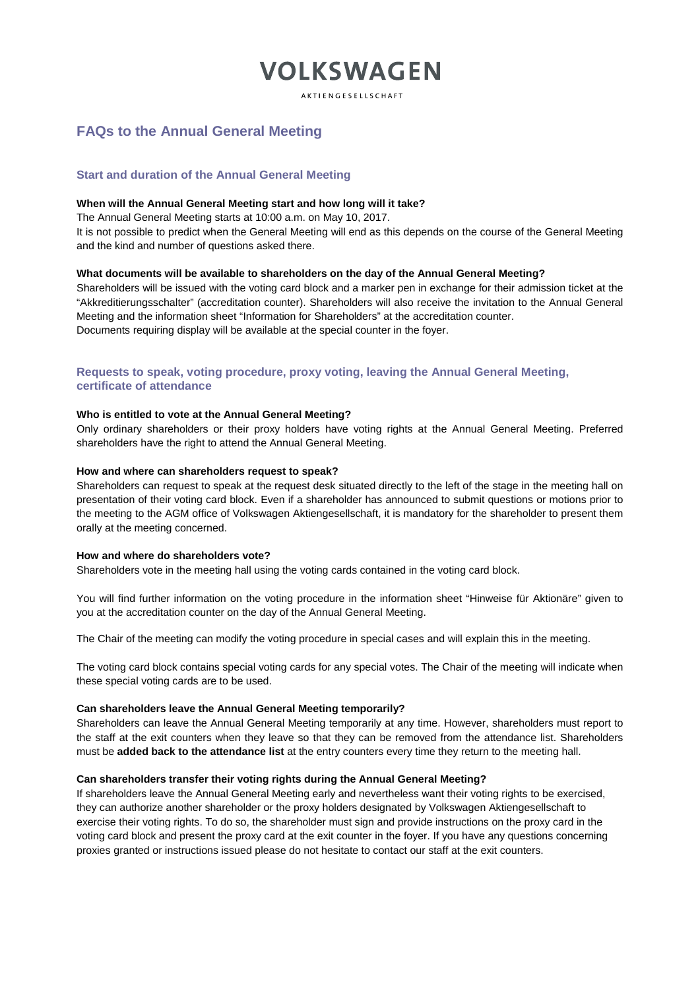**AKTIENGESELLSCHAFT** 

# **FAQs to the Annual General Meeting**

# **Start and duration of the Annual General Meeting**

## **When will the Annual General Meeting start and how long will it take?**

The Annual General Meeting starts at 10:00 a.m. on May 10, 2017.

It is not possible to predict when the General Meeting will end as this depends on the course of the General Meeting and the kind and number of questions asked there.

## **What documents will be available to shareholders on the day of the Annual General Meeting?**

Shareholders will be issued with the voting card block and a marker pen in exchange for their admission ticket at the "Akkreditierungsschalter" (accreditation counter). Shareholders will also receive the invitation to the Annual General Meeting and the information sheet "Information for Shareholders" at the accreditation counter. Documents requiring display will be available at the special counter in the foyer.

**Requests to speak, voting procedure, proxy voting, leaving the Annual General Meeting, certificate of attendance**

# **Who is entitled to vote at the Annual General Meeting?**

Only ordinary shareholders or their proxy holders have voting rights at the Annual General Meeting. Preferred shareholders have the right to attend the Annual General Meeting.

## **How and where can shareholders request to speak?**

Shareholders can request to speak at the request desk situated directly to the left of the stage in the meeting hall on presentation of their voting card block. Even if a shareholder has announced to submit questions or motions prior to the meeting to the AGM office of Volkswagen Aktiengesellschaft, it is mandatory for the shareholder to present them orally at the meeting concerned.

#### **How and where do shareholders vote?**

Shareholders vote in the meeting hall using the voting cards contained in the voting card block.

You will find further information on the voting procedure in the information sheet "Hinweise für Aktionäre" given to you at the accreditation counter on the day of the Annual General Meeting.

The Chair of the meeting can modify the voting procedure in special cases and will explain this in the meeting.

The voting card block contains special voting cards for any special votes. The Chair of the meeting will indicate when these special voting cards are to be used.

#### **Can shareholders leave the Annual General Meeting temporarily?**

Shareholders can leave the Annual General Meeting temporarily at any time. However, shareholders must report to the staff at the exit counters when they leave so that they can be removed from the attendance list. Shareholders must be **added back to the attendance list** at the entry counters every time they return to the meeting hall.

#### **Can shareholders transfer their voting rights during the Annual General Meeting?**

If shareholders leave the Annual General Meeting early and nevertheless want their voting rights to be exercised, they can authorize another shareholder or the proxy holders designated by Volkswagen Aktiengesellschaft to exercise their voting rights. To do so, the shareholder must sign and provide instructions on the proxy card in the voting card block and present the proxy card at the exit counter in the foyer. If you have any questions concerning proxies granted or instructions issued please do not hesitate to contact our staff at the exit counters.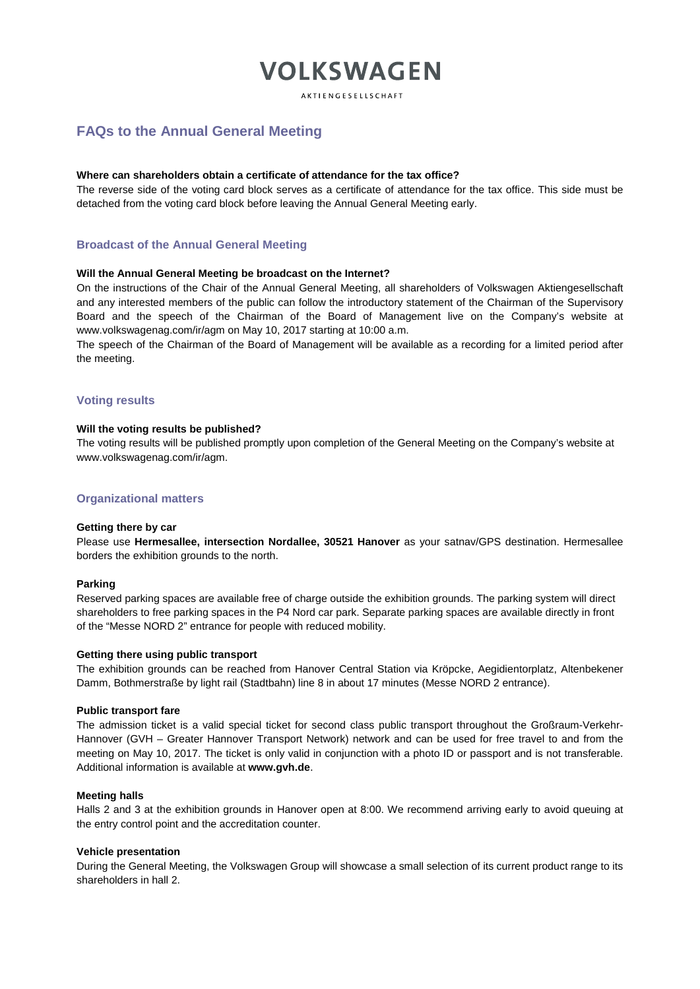**AKTIENGESELLSCHAFT** 

# **FAQs to the Annual General Meeting**

#### **Where can shareholders obtain a certificate of attendance for the tax office?**

The reverse side of the voting card block serves as a certificate of attendance for the tax office. This side must be detached from the voting card block before leaving the Annual General Meeting early.

# **Broadcast of the Annual General Meeting**

#### **Will the Annual General Meeting be broadcast on the Internet?**

On the instructions of the Chair of the Annual General Meeting, all shareholders of Volkswagen Aktiengesellschaft and any interested members of the public can follow the introductory statement of the Chairman of the Supervisory Board and the speech of the Chairman of the Board of Management live on the Company's website at www.volkswagenag.com/ir/agm on May 10, 2017 starting at 10:00 a.m.

The speech of the Chairman of the Board of Management will be available as a recording for a limited period after the meeting.

## **Voting results**

#### **Will the voting results be published?**

The voting results will be published promptly upon completion of the General Meeting on the Company's website at www.volkswagenag.com/ir/agm.

# **Organizational matters**

#### **Getting there by car**

Please use **Hermesallee, intersection Nordallee, 30521 Hanover** as your satnav/GPS destination. Hermesallee borders the exhibition grounds to the north.

#### **Parking**

Reserved parking spaces are available free of charge outside the exhibition grounds. The parking system will direct shareholders to free parking spaces in the P4 Nord car park. Separate parking spaces are available directly in front of the "Messe NORD 2" entrance for people with reduced mobility.

#### **Getting there using public transport**

The exhibition grounds can be reached from Hanover Central Station via Kröpcke, Aegidientorplatz, Altenbekener Damm, Bothmerstraße by light rail (Stadtbahn) line 8 in about 17 minutes (Messe NORD 2 entrance).

#### **Public transport fare**

The admission ticket is a valid special ticket for second class public transport throughout the Großraum-Verkehr-Hannover (GVH – Greater Hannover Transport Network) network and can be used for free travel to and from the meeting on May 10, 2017. The ticket is only valid in conjunction with a photo ID or passport and is not transferable. Additional information is available at **[www.gvh.de](http://www.gvh.de/)**.

#### **Meeting halls**

Halls 2 and 3 at the exhibition grounds in Hanover open at 8:00. We recommend arriving early to avoid queuing at the entry control point and the accreditation counter.

## **Vehicle presentation**

During the General Meeting, the Volkswagen Group will showcase a small selection of its current product range to its shareholders in hall 2.